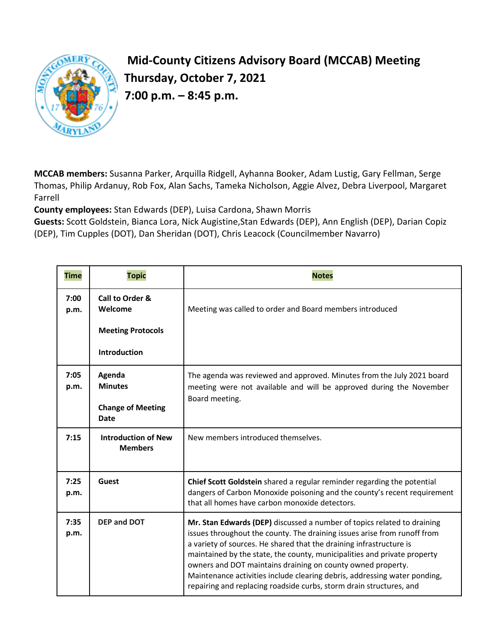

## **Mid-County Citizens Advisory Board (MCCAB) Meeting Thursday, October 7, 2021 7:00 p.m. – 8:45 p.m.**

**MCCAB members:** Susanna Parker, Arquilla Ridgell, Ayhanna Booker, Adam Lustig, Gary Fellman, Serge Thomas, Philip Ardanuy, Rob Fox, Alan Sachs, Tameka Nicholson, Aggie Alvez, Debra Liverpool, Margaret Farrell

**County employees:** Stan Edwards (DEP), Luisa Cardona, Shawn Morris

**Guests:** Scott Goldstein, Bianca Lora, Nick Augistine,Stan Edwards (DEP), Ann English (DEP), Darian Copiz (DEP), Tim Cupples (DOT), Dan Sheridan (DOT), Chris Leacock (Councilmember Navarro)

| <b>Time</b>  | <b>Topic</b>                                 | <b>Notes</b>                                                                                                                                                                                                                                                                                                                                                                                                                                                                                                              |
|--------------|----------------------------------------------|---------------------------------------------------------------------------------------------------------------------------------------------------------------------------------------------------------------------------------------------------------------------------------------------------------------------------------------------------------------------------------------------------------------------------------------------------------------------------------------------------------------------------|
| 7:00<br>p.m. | Call to Order &<br>Welcome                   | Meeting was called to order and Board members introduced                                                                                                                                                                                                                                                                                                                                                                                                                                                                  |
|              | <b>Meeting Protocols</b>                     |                                                                                                                                                                                                                                                                                                                                                                                                                                                                                                                           |
|              | <b>Introduction</b>                          |                                                                                                                                                                                                                                                                                                                                                                                                                                                                                                                           |
| 7:05<br>p.m. | Agenda<br><b>Minutes</b>                     | The agenda was reviewed and approved. Minutes from the July 2021 board<br>meeting were not available and will be approved during the November                                                                                                                                                                                                                                                                                                                                                                             |
|              | <b>Change of Meeting</b><br><b>Date</b>      | Board meeting.                                                                                                                                                                                                                                                                                                                                                                                                                                                                                                            |
| 7:15         | <b>Introduction of New</b><br><b>Members</b> | New members introduced themselves.                                                                                                                                                                                                                                                                                                                                                                                                                                                                                        |
| 7:25<br>p.m. | Guest                                        | Chief Scott Goldstein shared a regular reminder regarding the potential<br>dangers of Carbon Monoxide poisoning and the county's recent requirement<br>that all homes have carbon monoxide detectors.                                                                                                                                                                                                                                                                                                                     |
| 7:35<br>p.m. | <b>DEP and DOT</b>                           | Mr. Stan Edwards (DEP) discussed a number of topics related to draining<br>issues throughout the county. The draining issues arise from runoff from<br>a variety of sources. He shared that the draining infrastructure is<br>maintained by the state, the county, municipalities and private property<br>owners and DOT maintains draining on county owned property.<br>Maintenance activities include clearing debris, addressing water ponding,<br>repairing and replacing roadside curbs, storm drain structures, and |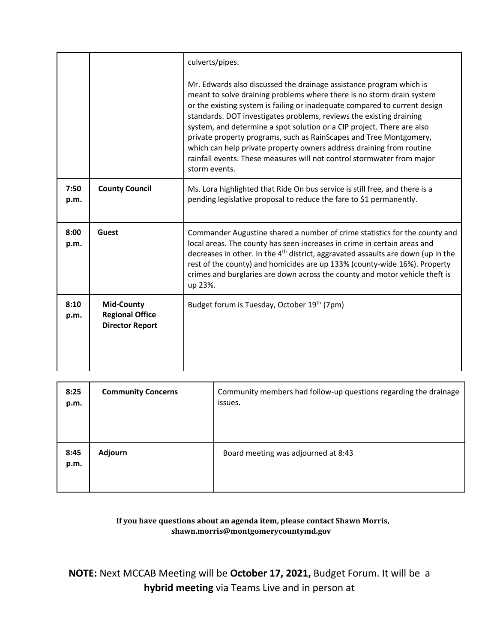|              |                                                                       | culverts/pipes.<br>Mr. Edwards also discussed the drainage assistance program which is<br>meant to solve draining problems where there is no storm drain system<br>or the existing system is failing or inadequate compared to current design<br>standards. DOT investigates problems, reviews the existing draining<br>system, and determine a spot solution or a CIP project. There are also<br>private property programs, such as RainScapes and Tree Montgomery,<br>which can help private property owners address draining from routine<br>rainfall events. These measures will not control stormwater from major<br>storm events. |
|--------------|-----------------------------------------------------------------------|-----------------------------------------------------------------------------------------------------------------------------------------------------------------------------------------------------------------------------------------------------------------------------------------------------------------------------------------------------------------------------------------------------------------------------------------------------------------------------------------------------------------------------------------------------------------------------------------------------------------------------------------|
| 7:50<br>p.m. | <b>County Council</b>                                                 | Ms. Lora highlighted that Ride On bus service is still free, and there is a<br>pending legislative proposal to reduce the fare to \$1 permanently.                                                                                                                                                                                                                                                                                                                                                                                                                                                                                      |
| 8:00<br>p.m. | Guest                                                                 | Commander Augustine shared a number of crime statistics for the county and<br>local areas. The county has seen increases in crime in certain areas and<br>decreases in other. In the 4 <sup>th</sup> district, aggravated assaults are down (up in the<br>rest of the county) and homicides are up 133% (county-wide 16%). Property<br>crimes and burglaries are down across the county and motor vehicle theft is<br>up 23%.                                                                                                                                                                                                           |
| 8:10<br>p.m. | <b>Mid-County</b><br><b>Regional Office</b><br><b>Director Report</b> | Budget forum is Tuesday, October 19th (7pm)                                                                                                                                                                                                                                                                                                                                                                                                                                                                                                                                                                                             |

| 8:25<br>p.m. | <b>Community Concerns</b> | Community members had follow-up questions regarding the drainage<br>issues. |
|--------------|---------------------------|-----------------------------------------------------------------------------|
| 8:45<br>p.m. | Adjourn                   | Board meeting was adjourned at 8:43                                         |

## **If you have questions about an agenda item, please contact Shawn Morris, shawn.morris@montgomerycountymd.gov**

**NOTE:** Next MCCAB Meeting will be **October 17, 2021,** Budget Forum. It will be a **hybrid meeting** via Teams Live and in person at